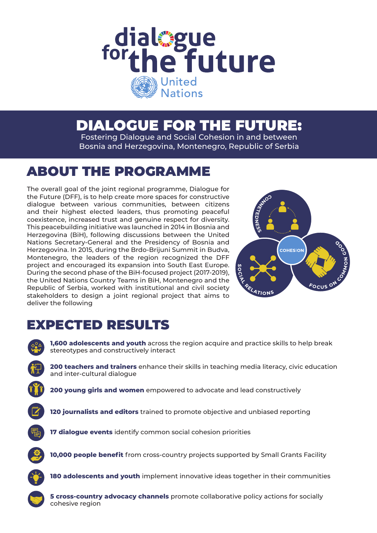

## DIALOGUE FOR THE FUTURE:

Fostering Dialogue and Social Cohesion in and between Bosnia and Herzegovina, Montenegro, Republic of Serbia

## ABOUT THE PROGRAMME

The overall goal of the joint regional programme, Dialogue for the Future (DFF), is to help create more spaces for constructive dialogue between various communities, between citizens and their highest elected leaders, thus promoting peaceful coexistence, increased trust and genuine respect for diversity. This peacebuilding initiative was launched in 2014 in Bosnia and Herzegovina (BiH), following discussions between the United Nations Secretary-General and the Presidency of Bosnia and Herzegovina. In 2015, during the Brdo-Brijuni Summit in Budva, Montenegro, the leaders of the region recognized the DFF project and encouraged its expansion into South East Europe. During the second phase of the BiH-focused project (2017-2019), the United Nations Country Teams in BiH, Montenegro and the Republic of Serbia, worked with institutional and civil society stakeholders to design a joint regional project that aims to deliver the following



## EXPECTED RESULTS

**1,600 adolescents and youth** across the region acquire and practice skills to help break stereotypes and constructively interact

**200 teachers and trainers** enhance their skills in teaching media literacy, civic education and inter-cultural dialogue

**200 young girls and women** empowered to advocate and lead constructively

- **120 journalists and editors** trained to promote objective and unbiased reporting
- 

**17 dialogue events** identify common social cohesion priorities



**10,000 people benefit** from cross-country projects supported by Small Grants Facility



**180 adolescents and youth** implement innovative ideas together in their communities



**5 cross-country advocacy channels** promote collaborative policy actions for socially cohesive region